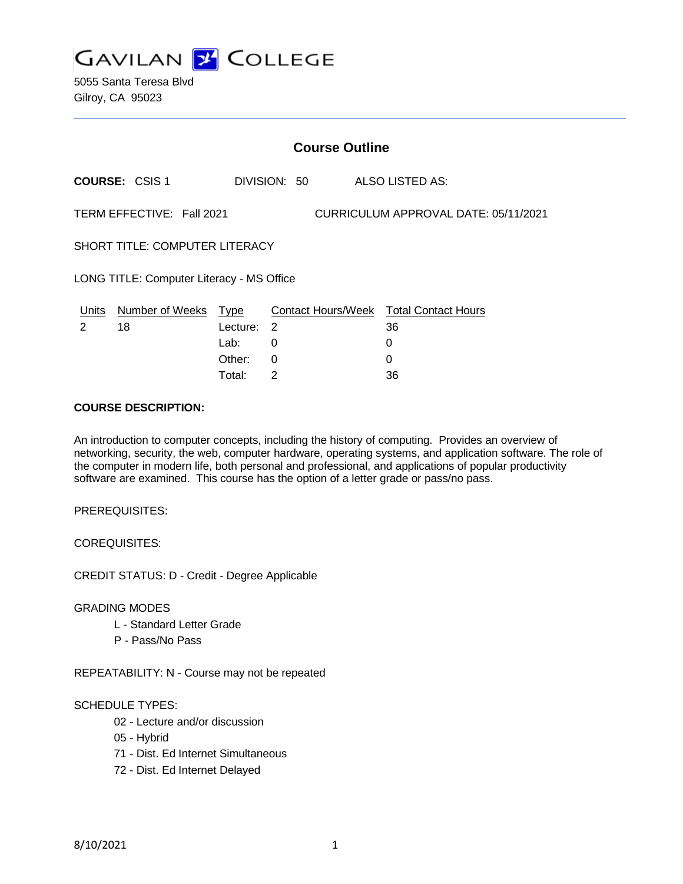

5055 Santa Teresa Blvd Gilroy, CA 95023

|                                                                   | <b>Course Outline</b>            |                            |                    |  |                                                   |  |  |
|-------------------------------------------------------------------|----------------------------------|----------------------------|--------------------|--|---------------------------------------------------|--|--|
|                                                                   | <b>COURSE: CSIS 1</b>            |                            | DIVISION: 50       |  | ALSO LISTED AS:                                   |  |  |
| TERM EFFECTIVE: Fall 2021<br>CURRICULUM APPROVAL DATE: 05/11/2021 |                                  |                            |                    |  |                                                   |  |  |
| SHORT TITLE: COMPUTER LITERACY                                    |                                  |                            |                    |  |                                                   |  |  |
| LONG TITLE: Computer Literacy - MS Office                         |                                  |                            |                    |  |                                                   |  |  |
| 2                                                                 | Units Number of Weeks Type<br>18 | Lecture:<br>Lab:<br>Other: | $\mathcal{P}$<br>0 |  | Contact Hours/Week Total Contact Hours<br>36<br>0 |  |  |
|                                                                   |                                  |                            | 0                  |  | 0                                                 |  |  |

Total: 2 36

#### **COURSE DESCRIPTION:**

An introduction to computer concepts, including the history of computing. Provides an overview of networking, security, the web, computer hardware, operating systems, and application software. The role of the computer in modern life, both personal and professional, and applications of popular productivity software are examined. This course has the option of a letter grade or pass/no pass.

PREREQUISITES:

COREQUISITES:

CREDIT STATUS: D - Credit - Degree Applicable

GRADING MODES

- L Standard Letter Grade
- P Pass/No Pass

REPEATABILITY: N - Course may not be repeated

#### SCHEDULE TYPES:

- 02 Lecture and/or discussion
- 05 Hybrid
- 71 Dist. Ed Internet Simultaneous
- 72 Dist. Ed Internet Delayed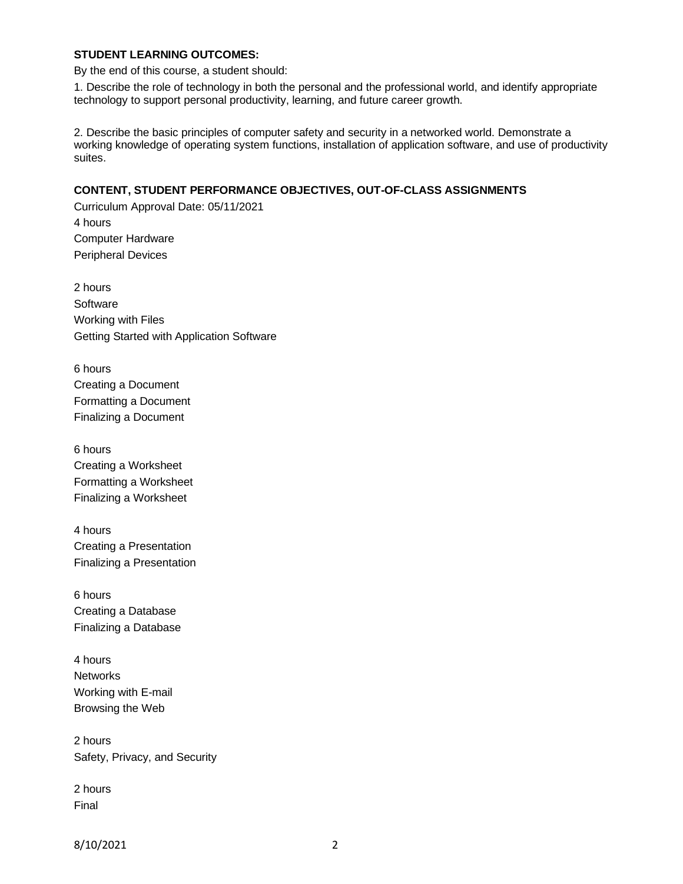### **STUDENT LEARNING OUTCOMES:**

By the end of this course, a student should:

1. Describe the role of technology in both the personal and the professional world, and identify appropriate technology to support personal productivity, learning, and future career growth.

2. Describe the basic principles of computer safety and security in a networked world. Demonstrate a working knowledge of operating system functions, installation of application software, and use of productivity suites.

## **CONTENT, STUDENT PERFORMANCE OBJECTIVES, OUT-OF-CLASS ASSIGNMENTS**

Curriculum Approval Date: 05/11/2021 4 hours Computer Hardware Peripheral Devices

2 hours **Software** Working with Files Getting Started with Application Software

6 hours Creating a Document Formatting a Document Finalizing a Document

6 hours Creating a Worksheet Formatting a Worksheet Finalizing a Worksheet

4 hours Creating a Presentation Finalizing a Presentation

6 hours Creating a Database Finalizing a Database

4 hours **Networks** Working with E-mail Browsing the Web

2 hours Safety, Privacy, and Security

2 hours Final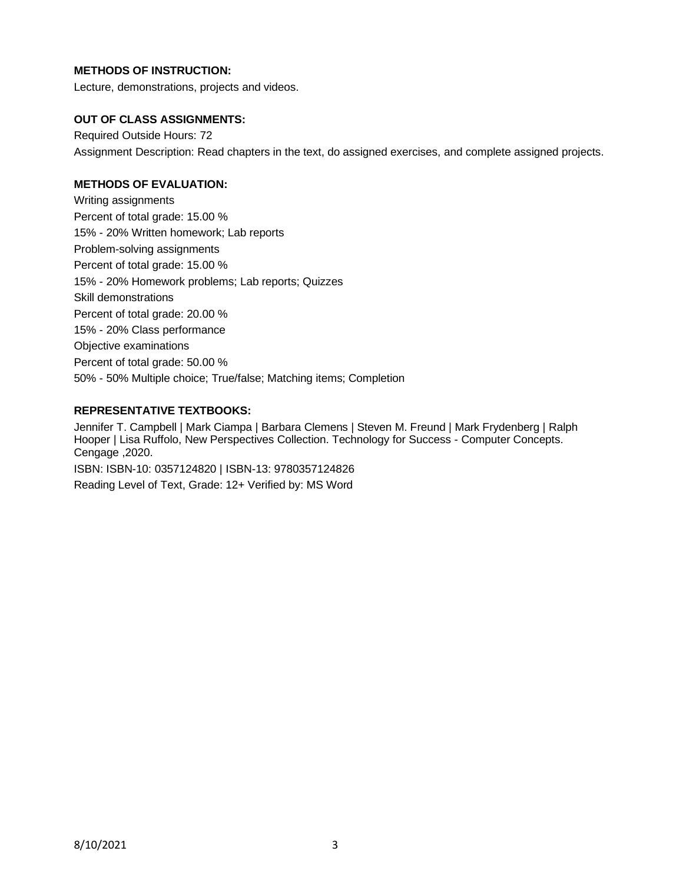# **METHODS OF INSTRUCTION:**

Lecture, demonstrations, projects and videos.

### **OUT OF CLASS ASSIGNMENTS:**

Required Outside Hours: 72 Assignment Description: Read chapters in the text, do assigned exercises, and complete assigned projects.

### **METHODS OF EVALUATION:**

Writing assignments Percent of total grade: 15.00 % 15% - 20% Written homework; Lab reports Problem-solving assignments Percent of total grade: 15.00 % 15% - 20% Homework problems; Lab reports; Quizzes Skill demonstrations Percent of total grade: 20.00 % 15% - 20% Class performance Objective examinations Percent of total grade: 50.00 % 50% - 50% Multiple choice; True/false; Matching items; Completion

### **REPRESENTATIVE TEXTBOOKS:**

Jennifer T. Campbell | Mark Ciampa | Barbara Clemens | Steven M. Freund | Mark Frydenberg | Ralph Hooper | Lisa Ruffolo, New Perspectives Collection. Technology for Success - Computer Concepts. Cengage ,2020.

ISBN: ISBN-10: 0357124820 | ISBN-13: 9780357124826 Reading Level of Text, Grade: 12+ Verified by: MS Word